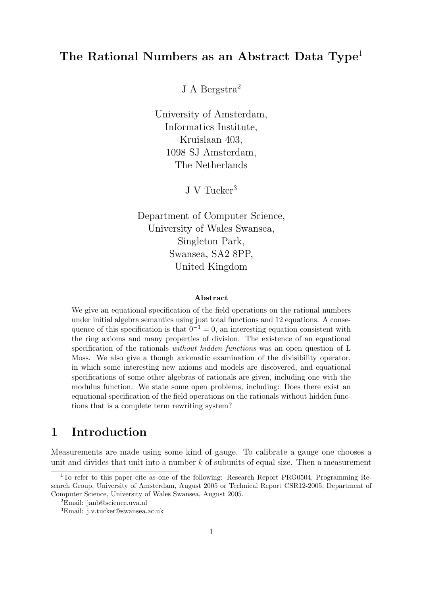# The Rational Numbers as an Abstract Data Type<sup>1</sup>

J A Bergstra<sup>2</sup>

University of Amsterdam, Informatics Institute, Kruislaan 403, 1098 SJ Amsterdam, The Netherlands

J V Tucker $^3$ 

Department of Computer Science, University of Wales Swansea, Singleton Park, Swansea, SA2 8PP, United Kingdom

#### Abstract

We give an equational specification of the field operations on the rational numbers under initial algebra semantics using just total functions and 12 equations. A consequence of this specification is that  $0^{-1} = 0$ , an interesting equation consistent with the ring axioms and many properties of division. The existence of an equational specification of the rationals without hidden functions was an open question of L Moss. We also give a though axiomatic examination of the divisibility operator, in which some interesting new axioms and models are discovered, and equational specifications of some other algebras of rationals are given, including one with the modulus function. We state some open problems, including: Does there exist an equational specification of the field operations on the rationals without hidden functions that is a complete term rewriting system?

# 1 Introduction

Measurements are made using some kind of gauge. To calibrate a gauge one chooses a unit and divides that unit into a number  $k$  of subunits of equal size. Then a measurement

<sup>&</sup>lt;sup>1</sup>To refer to this paper cite as one of the following: Research Report PRG0504, Programming Research Group, University of Amsterdam, August 2005 or Technical Report CSR12-2005, Department of Computer Science, University of Wales Swansea, August 2005.

<sup>2</sup>Email: janb@science.uva.nl

<sup>3</sup>Email: j.v.tucker@swansea.ac.uk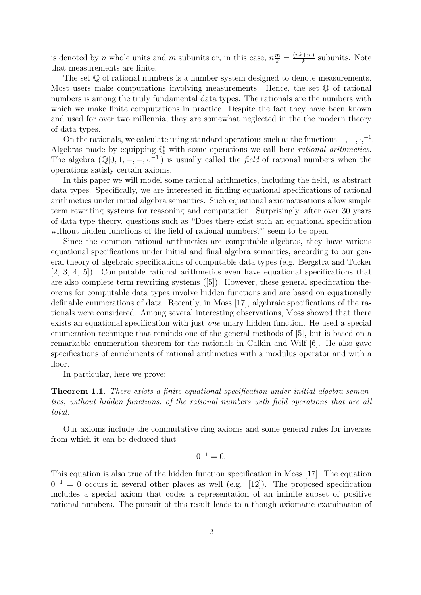is denoted by *n* whole units and *m* subunits or, in this case,  $n \frac{m}{k} = \frac{(nk+m)}{k}$  $\frac{k+m}{k}$  subunits. Note that measurements are finite.

The set  $\mathbb Q$  of rational numbers is a number system designed to denote measurements. Most users make computations involving measurements. Hence, the set  $\mathbb Q$  of rational numbers is among the truly fundamental data types. The rationals are the numbers with which we make finite computations in practice. Despite the fact they have been known and used for over two millennia, they are somewhat neglected in the the modern theory of data types.

On the rationals, we calculate using standard operations such as the functions  $+,-,,-$ <sup>1</sup>. Algebras made by equipping Q with some operations we call here rational arithmetics. The algebra  $(\mathbb{Q}[0,1,+, -, \cdot, ^{-1})$  is usually called the field of rational numbers when the operations satisfy certain axioms.

In this paper we will model some rational arithmetics, including the field, as abstract data types. Specifically, we are interested in finding equational specifications of rational arithmetics under initial algebra semantics. Such equational axiomatisations allow simple term rewriting systems for reasoning and computation. Surprisingly, after over 30 years of data type theory, questions such as "Does there exist such an equational specification without hidden functions of the field of rational numbers?" seem to be open.

Since the common rational arithmetics are computable algebras, they have various equational specifications under initial and final algebra semantics, according to our general theory of algebraic specifications of computable data types (e.g. Bergstra and Tucker [2, 3, 4, 5]). Computable rational arithmetics even have equational specifications that are also complete term rewriting systems ([5]). However, these general specification theorems for computable data types involve hidden functions and are based on equationally definable enumerations of data. Recently, in Moss [17], algebraic specifications of the rationals were considered. Among several interesting observations, Moss showed that there exists an equational specification with just one unary hidden function. He used a special enumeration technique that reminds one of the general methods of [5], but is based on a remarkable enumeration theorem for the rationals in Calkin and Wilf [6]. He also gave specifications of enrichments of rational arithmetics with a modulus operator and with a floor.

In particular, here we prove:

**Theorem 1.1.** There exists a finite equational specification under initial algebra semantics, without hidden functions, of the rational numbers with field operations that are all total.

Our axioms include the commutative ring axioms and some general rules for inverses from which it can be deduced that

$$
0^{-1}=0.
$$

This equation is also true of the hidden function specification in Moss [17]. The equation  $0^{-1} = 0$  occurs in several other places as well (e.g. [12]). The proposed specification includes a special axiom that codes a representation of an infinite subset of positive rational numbers. The pursuit of this result leads to a though axiomatic examination of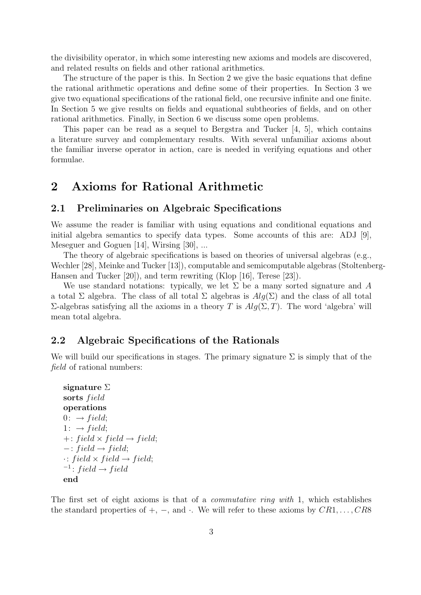the divisibility operator, in which some interesting new axioms and models are discovered, and related results on fields and other rational arithmetics.

The structure of the paper is this. In Section 2 we give the basic equations that define the rational arithmetic operations and define some of their properties. In Section 3 we give two equational specifications of the rational field, one recursive infinite and one finite. In Section 5 we give results on fields and equational subtheories of fields, and on other rational arithmetics. Finally, in Section 6 we discuss some open problems.

This paper can be read as a sequel to Bergstra and Tucker [4, 5], which contains a literature survey and complementary results. With several unfamiliar axioms about the familiar inverse operator in action, care is needed in verifying equations and other formulae.

## 2 Axioms for Rational Arithmetic

#### 2.1 Preliminaries on Algebraic Specifications

We assume the reader is familiar with using equations and conditional equations and initial algebra semantics to specify data types. Some accounts of this are: ADJ [9], Meseguer and Goguen [14], Wirsing [30], ...

The theory of algebraic specifications is based on theories of universal algebras (e.g., Wechler [28], Meinke and Tucker [13]), computable and semicomputable algebras (Stoltenberg-Hansen and Tucker [20]), and term rewriting (Klop [16], Terese [23]).

We use standard notations: typically, we let  $\Sigma$  be a many sorted signature and A a total Σ algebra. The class of all total Σ algebras is  $Alg(\Sigma)$  and the class of all total  $\Sigma$ -algebras satisfying all the axioms in a theory T is  $Alg(Σ, T)$ . The word 'algebra' will mean total algebra.

#### 2.2 Algebraic Specifications of the Rationals

We will build our specifications in stages. The primary signature  $\Sigma$  is simply that of the field of rational numbers:

```
signature Σ
sorts field
operations
0: \rightarrow field;1: \rightarrow field;+: field \times field \rightarrow field;-: field \rightarrow field;
\cdot: field \times field \rightarrow field;
i^{-1}: field \rightarrow field
end
```
The first set of eight axioms is that of a *commutative ring with* 1, which establishes the standard properties of  $+, -$ , and  $\cdot$ . We will refer to these axioms by  $CR1, \ldots, CR8$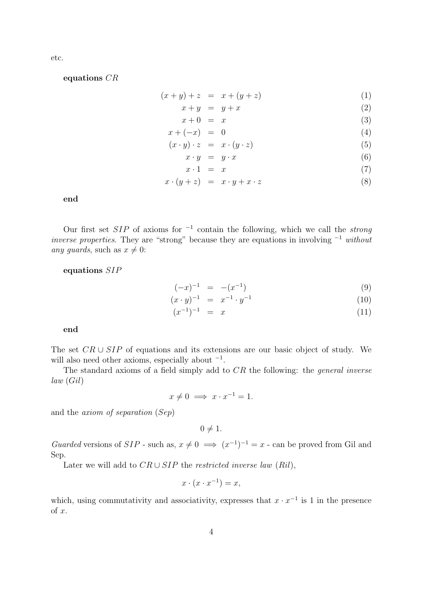etc.

equations CR

$$
(x + y) + z = x + (y + z)
$$
 (1)

$$
x + y = y + x \tag{2}
$$

$$
x + 0 = x \tag{3}
$$

$$
x + (-x) = 0 \tag{4}
$$

$$
(x \cdot y) \cdot z = x \cdot (y \cdot z) \tag{5}
$$

$$
x \cdot y = y \cdot x \tag{6}
$$

$$
x \cdot 1 = x \tag{7}
$$

$$
x \cdot (y+z) = x \cdot y + x \cdot z \tag{8}
$$

end

Our first set  $SIP$  of axioms for  $^{-1}$  contain the following, which we call the *strong* inverse properties. They are "strong" because they are equations in involving <sup>−</sup><sup>1</sup> without any guards, such as  $x \neq 0$ :

equations SIP

$$
(-x)^{-1} = -(x^{-1}) \tag{9}
$$

$$
(x \cdot y)^{-1} = x^{-1} \cdot y^{-1} \tag{10}
$$

$$
(x^{-1})^{-1} = x \tag{11}
$$

end

The set  $CR \cup SIP$  of equations and its extensions are our basic object of study. We will also need other axioms, especially about  $^{-1}$ .

The standard axioms of a field simply add to CR the following: the *general inverse* law (Gil)

 $x \neq 0 \implies x \cdot x^{-1} = 1.$ 

and the axiom of separation (Sep)

 $0 \neq 1$ .

Guarded versions of  $SIP$  - such as,  $x \neq 0 \implies (x^{-1})^{-1} = x$  - can be proved from Gil and Sep.

Later we will add to  $CR \cup SIP$  the restricted inverse law (Ril),

$$
x \cdot (x \cdot x^{-1}) = x,
$$

which, using commutativity and associativity, expresses that  $x \cdot x^{-1}$  is 1 in the presence of x.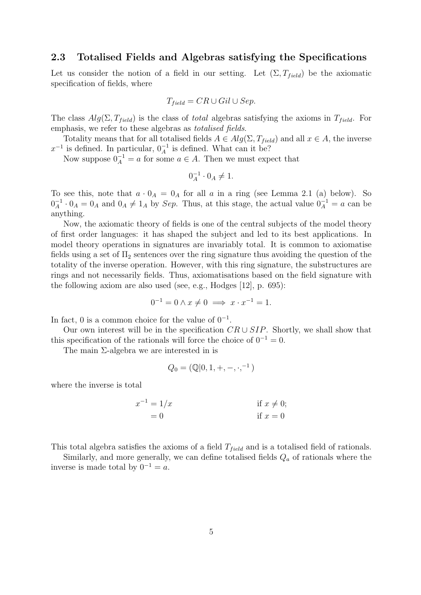#### 2.3 Totalised Fields and Algebras satisfying the Specifications

Let us consider the notion of a field in our setting. Let  $(\Sigma, T_{field})$  be the axiomatic specification of fields, where

$$
T_{field} = CR \cup Gil \cup Sep.
$$

The class  $Alg(\Sigma, T_{field})$  is the class of *total* algebras satisfying the axioms in  $T_{field}$ . For emphasis, we refer to these algebras as totalised fields.

Totality means that for all totalised fields  $A \in Alg(\Sigma, T_{field})$  and all  $x \in A$ , the inverse  $x^{-1}$  is defined. In particular,  $0^{-1}$  is defined. What can it be?

Now suppose  $0_A^{-1} = a$  for some  $a \in A$ . Then we must expect that

$$
0_A^{-1} \cdot 0_A \neq 1.
$$

To see this, note that  $a \cdot 0_A = 0_A$  for all a in a ring (see Lemma 2.1 (a) below). So  $0^{-1}_A$  $A^{-1} \cdot 0_A = 0_A$  and  $0_A \neq 1_A$  by Sep. Thus, at this stage, the actual value  $0_A^{-1} = a$  can be anything.

Now, the axiomatic theory of fields is one of the central subjects of the model theory of first order languages: it has shaped the subject and led to its best applications. In model theory operations in signatures are invariably total. It is common to axiomatise fields using a set of  $\Pi_2$  sentences over the ring signature thus avoiding the question of the totality of the inverse operation. However, with this ring signature, the substructures are rings and not necessarily fields. Thus, axiomatisations based on the field signature with the following axiom are also used (see, e.g., Hodges [12], p. 695):

$$
0^{-1} = 0 \wedge x \neq 0 \implies x \cdot x^{-1} = 1.
$$

In fact, 0 is a common choice for the value of  $0^{-1}$ .

Our own interest will be in the specification  $CR \cup SIP$ . Shortly, we shall show that this specification of the rationals will force the choice of  $0^{-1} = 0$ .

The main Σ-algebra we are interested in is

$$
Q_0 = (\mathbb{Q}[0, 1, +, -, \cdot, ^{-1})
$$

where the inverse is total

$$
x^{-1} = 1/x
$$
 if  $x \neq 0$ ;  
= 0 if  $x = 0$ 

This total algebra satisfies the axioms of a field  $T_{field}$  and is a totalised field of rationals.

Similarly, and more generally, we can define totalised fields  $Q_a$  of rationals where the inverse is made total by  $0^{-1} = a$ .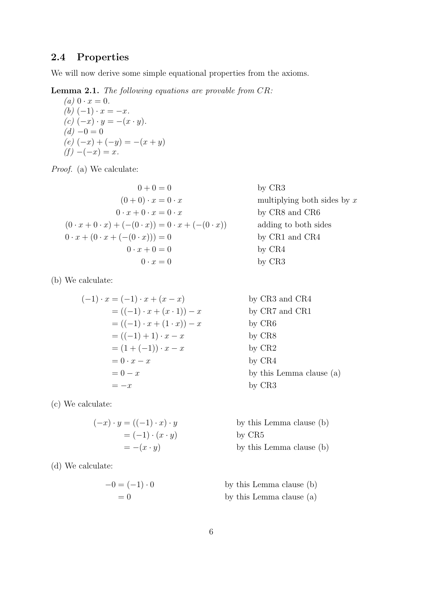## 2.4 Properties

We will now derive some simple equational properties from the axioms.

Lemma 2.1. The following equations are provable from CR:

(a) 
$$
0 \cdot x = 0
$$
.  
\n(b)  $(-1) \cdot x = -x$ .  
\n(c)  $(-x) \cdot y = -(x \cdot y)$ .  
\n(d)  $-0 = 0$   
\n(e)  $(-x) + (-y) = -(x + y)$   
\n(f)  $-(-x) = x$ .

Proof. (a) We calculate:

$$
0 + 0 = 0
$$
  
\n
$$
(0 + 0) \cdot x = 0 \cdot x
$$
  
\n
$$
0 \cdot x + 0 \cdot x = 0 \cdot x
$$
  
\n
$$
(0 \cdot x + 0 \cdot x) + (-(0 \cdot x)) = 0 \cdot x + (-(0 \cdot x))
$$
  
\n
$$
0 \cdot x + (0 \cdot x + (-(0 \cdot x))) = 0
$$
  
\n
$$
0 \cdot x + 0 = 0
$$
  
\n
$$
0 \cdot x = 0
$$

(b) We calculate:

$$
(-1) \cdot x = (-1) \cdot x + (x - x)
$$
  
\n
$$
= ((-1) \cdot x + (x \cdot 1)) - x
$$
  
\n
$$
= ((-1) \cdot x + (1 \cdot x)) - x
$$
  
\n
$$
= ((-1) + 1) \cdot x - x
$$
  
\n
$$
= (1 + (-1)) \cdot x - x
$$
  
\n
$$
= 0 \cdot x - x
$$
  
\nby CR8  
\nby CR8  
\nby CR9  
\nby CR8  
\nby CR2  
\nby CR4  
\nby this Lemma clause (a)  
\nby CR3

(c) We calculate:

$$
(-x) \cdot y = ((-1) \cdot x) \cdot y
$$

$$
= (-1) \cdot (x \cdot y)
$$

$$
= -(x \cdot y)
$$

(d) We calculate:

$$
-0 = (-1) \cdot 0
$$

$$
= 0
$$

by CR3 multiplying both sides by  $x$ by CR8 and CR6 adding to both sides by CR1 and CR4 by CR4 by CR3

by this Lemma clause  $(b)$ by CR5 by this Lemma clause  $(b)$ 

by this Lemma clause (b) by this Lemma clause  $(a)$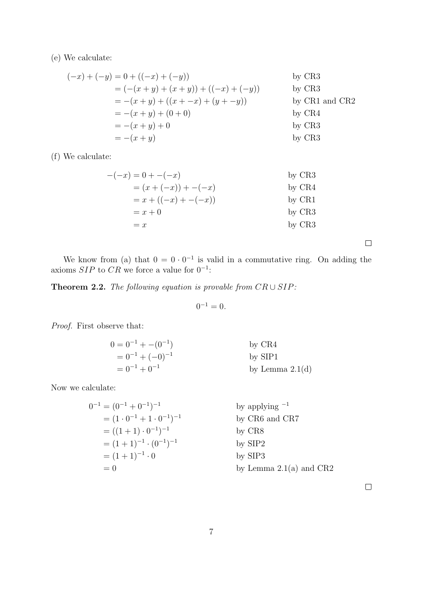(e) We calculate:

$$
(-x) + (-y) = 0 + ((-x) + (-y))
$$
 by CR3  
=  $(-(x + y) + (x + y)) + ((-x) + (-y))$  by CR3  
=  $-(x + y) + ((x + -x) + (y + -y))$  by CR1 and CR2  
=  $-(x + y) + (0 + 0)$  by CR4  
=  $-(x + y) + 0$  by CR3  
=  $-(x + y)$  by CR3  
by CR3

(f) We calculate:

$$
-(-x) = 0 + -(x)
$$
  
\n
$$
= (x + (-x)) + (-x)
$$
  
\n
$$
= x + ((-x) + (-x))
$$
  
\n
$$
= x + 0
$$
  
\n
$$
= x
$$
  
\nby CR4  
\nby CR1  
\nby CR3  
\nby CR3  
\nby CR3

 $\Box$ 

We know from (a) that  $0 = 0 \cdot 0^{-1}$  is valid in a commutative ring. On adding the axioms  $SIP$  to  $CR$  we force a value for  $0^{-1}$ :

Theorem 2.2. The following equation is provable from  $CR \cup SIP$ :

 $0^{-1} = 0.$ 

Proof. First observe that:

$$
0 = 0^{-1} + -(0^{-1})
$$
  
\n
$$
= 0^{-1} + (-0)^{-1}
$$
  
\n
$$
= 0^{-1} + 0^{-1}
$$
  
\nby SIP1  
\nby Lemma 2.1(d)

Now we calculate:

$$
0^{-1} = (0^{-1} + 0^{-1})^{-1}
$$
 by applying <sup>-1</sup>  
\n
$$
= (1 \cdot 0^{-1} + 1 \cdot 0^{-1})^{-1}
$$
 by CR6 and CR7  
\n
$$
= (1 + 1) \cdot 0^{-1})^{-1}
$$
 by CR8  
\n
$$
= (1 + 1)^{-1} \cdot (0^{-1})^{-1}
$$
 by SIP2  
\n
$$
= (1 + 1)^{-1} \cdot 0
$$
 by SIP3  
\nby SIP3  
\nby Lemma 2.1(a) and CR2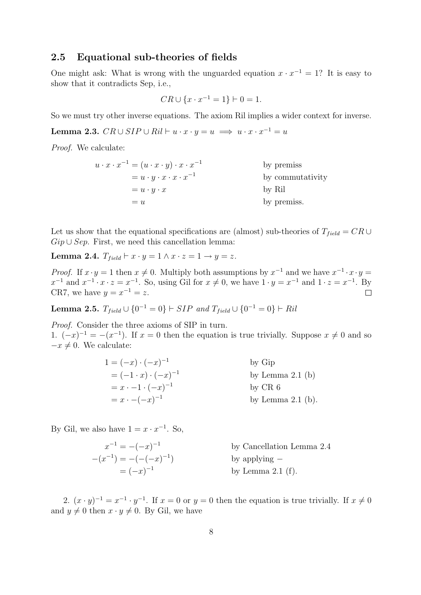### 2.5 Equational sub-theories of fields

One might ask: What is wrong with the unguarded equation  $x \cdot x^{-1} = 1$ ? It is easy to show that it contradicts Sep, i.e.,

$$
CR \cup \{x \cdot x^{-1} = 1\} \vdash 0 = 1.
$$

So we must try other inverse equations. The axiom Ril implies a wider context for inverse.

Lemma 2.3.  $CR \cup SIP \cup Ril \vdash u \cdot x \cdot y = u \implies u \cdot x \cdot x^{-1} = u$ 

Proof. We calculate:

| $u \cdot x \cdot x^{-1} = (u \cdot x \cdot y) \cdot x \cdot x^{-1}$ | by premiss       |
|---------------------------------------------------------------------|------------------|
| $= u \cdot y \cdot x \cdot x \cdot x^{-1}$                          | by commutativity |
| $= u \cdot y \cdot x$                                               | by Ril           |
| $=u$                                                                | by premiss.      |

Let us show that the equational specifications are (almost) sub-theories of  $T_{field} = CR \cup$  $Gip \cup Sep.$  First, we need this cancellation lemma:

Lemma 2.4.  $T_{field} \vdash x \cdot y = 1 \land x \cdot z = 1 \rightarrow y = z$ .

*Proof.* If  $x \cdot y = 1$  then  $x \neq 0$ . Multiply both assumptions by  $x^{-1}$  and we have  $x^{-1} \cdot x \cdot y =$  $x^{-1}$  and  $x^{-1} \cdot x \cdot z = x^{-1}$ . So, using Gil for  $x \neq 0$ , we have  $1 \cdot y = x^{-1}$  and  $1 \cdot z = x^{-1}$ . By CR7, we have  $y = x^{-1} = z$ . П

**Lemma 2.5.**  $T_{field} \cup \{0^{-1} = 0\} \vdash SIP \ and \ T_{field} \cup \{0^{-1} = 0\} \vdash Ril$ 

Proof. Consider the three axioms of SIP in turn. 1.  $(-x)^{-1} = -(x^{-1})$ . If  $x = 0$  then the equation is true trivially. Suppose  $x \neq 0$  and so  $-x \neq 0$ . We calculate:

| $1=(-x)\cdot(-x)^{-1}$           | by Gip              |
|----------------------------------|---------------------|
| $= (-1 \cdot x) \cdot (-x)^{-1}$ | by Lemma $2.1$ (b)  |
| $= x \cdot -1 \cdot (-x)^{-1}$   | by $CR\ 6$          |
| $= x \cdot -(-x)^{-1}$           | by Lemma $2.1$ (b). |

By Gil, we also have  $1 = x \cdot x^{-1}$ . So,

 $x^{-1} = -(-x)^{-1}$ by Cancellation Lemma 2.4  $-(x^{-1}) = -(-(-x)^{-1})$ ) by applying −  $= (-x)^{-1}$ by Lemma  $2.1$  (f).

2.  $(x \cdot y)^{-1} = x^{-1} \cdot y^{-1}$ . If  $x = 0$  or  $y = 0$  then the equation is true trivially. If  $x \neq 0$ and  $y \neq 0$  then  $x \cdot y \neq 0$ . By Gil, we have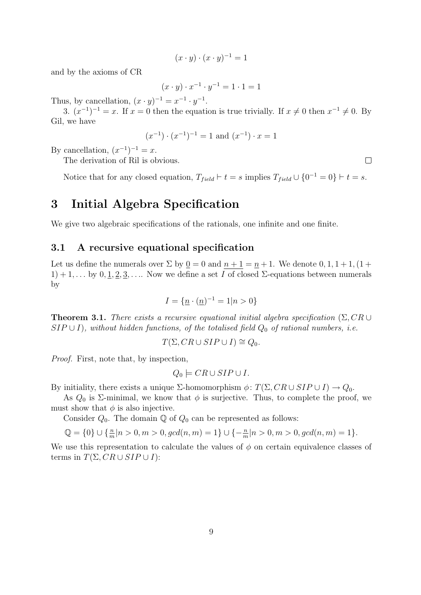$$
(x \cdot y) \cdot (x \cdot y)^{-1} = 1
$$

and by the axioms of CR

$$
(x \cdot y) \cdot x^{-1} \cdot y^{-1} = 1 \cdot 1 = 1
$$

Thus, by cancellation,  $(x \cdot y)^{-1} = x^{-1} \cdot y^{-1}$ .

3.  $(x^{-1})^{-1} = x$ . If  $x = 0$  then the equation is true trivially. If  $x \neq 0$  then  $x^{-1} \neq 0$ . By Gil, we have

$$
(x^{-1}) \cdot (x^{-1})^{-1} = 1
$$
 and  $(x^{-1}) \cdot x = 1$ 

By cancellation,  $(x^{-1})^{-1} = x$ .

The derivation of Ril is obvious.

Notice that for any closed equation,  $T_{field} \vdash t = s$  implies  $T_{field} \cup \{0^{-1} = 0\} \vdash t = s$ .

# 3 Initial Algebra Specification

We give two algebraic specifications of the rationals, one infinite and one finite.

#### 3.1 A recursive equational specification

Let us define the numerals over  $\Sigma$  by  $0 = 0$  and  $n + 1 = n + 1$ . We denote  $0, 1, 1 + 1, (1 +$  $1) + 1, \ldots$  by  $0, 1, 2, 3, \ldots$ . Now we define a set I of closed  $\Sigma$ -equations between numerals by

$$
I = \{ \underline{n} \cdot (\underline{n})^{-1} = 1 | n > 0 \}
$$

**Theorem 3.1.** There exists a recursive equational initial algebra specification ( $\Sigma$ ,  $CR \cup$  $SIP \cup I$ , without hidden functions, of the totalised field  $Q_0$  of rational numbers, i.e.

$$
T(\Sigma, CR \cup SIP \cup I) \cong Q_0.
$$

Proof. First, note that, by inspection,

$$
Q_0 \models CR \cup SIP \cup I.
$$

By initiality, there exists a unique  $\Sigma$ -homomorphism  $\phi: T(\Sigma, CR \cup SIP \cup I) \rightarrow Q_0$ .

As  $Q_0$  is  $\Sigma$ -minimal, we know that  $\phi$  is surjective. Thus, to complete the proof, we must show that  $\phi$  is also injective.

Consider  $Q_0$ . The domain  $\mathbb Q$  of  $Q_0$  can be represented as follows:

$$
\mathbb{Q} = \{0\} \cup \{\frac{n}{m}|n > 0, m > 0, \gcd(n, m) = 1\} \cup \{-\frac{n}{m}|n > 0, m > 0, \gcd(n, m) = 1\}.
$$

We use this representation to calculate the values of  $\phi$  on certain equivalence classes of terms in  $T(\Sigma, CR \cup SIP \cup I)$ :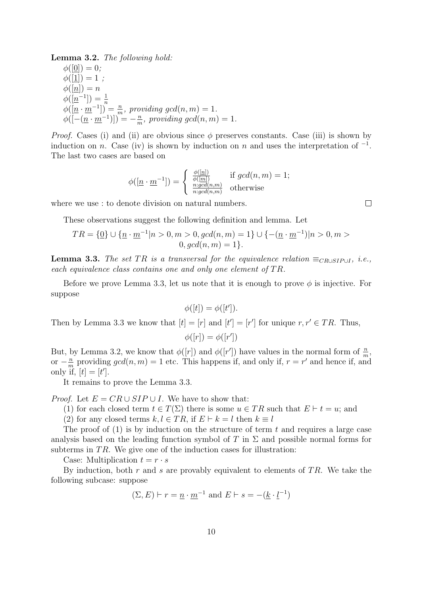Lemma 3.2. The following hold:  $\phi([0]) = 0;$  $\phi([1]) = 1$ ;  $\phi([n]) = n$  $\phi([n^{-1}]) = \frac{1}{n}$ <br>  $\phi([n \cdot m^{-1}]) = \frac{n}{m}$ , providing gcd $(n, m) = 1$ .  $\phi([-(\underline{n}\cdot \underline{m}^{-1})])^{\dots}=-\frac{n}{m}$  $\frac{n}{m}$ , providing gcd $(n, m) = 1$ .

*Proof.* Cases (i) and (ii) are obvious since  $\phi$  preserves constants. Case (iii) is shown by induction on n. Case (iv) is shown by induction on n and uses the interpretation of  $^{-1}$ . The last two cases are based on

$$
\phi([n \cdot m^{-1}]) = \begin{cases} \frac{\phi([n])}{\phi([m])} & \text{if } gcd(n, m) = 1; \\ \frac{n: gcd(n, m)}{n: gcd(n, m)} & \text{otherwise} \end{cases}
$$

where we use : to denote division on natural numbers.

These observations suggest the following definition and lemma. Let

$$
TR = \{ \underline{0} \} \cup \{ \underline{n} \cdot \underline{m}^{-1} | n > 0, m > 0, \gcd(n, m) = 1 \} \cup \{ -(\underline{n} \cdot \underline{m}^{-1}) | n > 0, m > 0, \gcd(n, m) = 1 \}.
$$

**Lemma 3.3.** The set TR is a transversal for the equivalence relation  $\equiv_{CR\cup SIP\cup I}$ , i.e., each equivalence class contains one and only one element of  $TR$ .

Before we prove Lemma 3.3, let us note that it is enough to prove  $\phi$  is injective. For suppose

$$
\phi([t]) = \phi([t']).
$$

Then by Lemma 3.3 we know that  $[t] = [r]$  and  $[t'] = [r']$  for unique  $r, r' \in TR$ . Thus,  $\phi([r]) = \phi([r'])$ 

But, by Lemma 3.2, we know that  $\phi([r])$  and  $\phi([r'])$  have values in the normal form of  $\frac{n}{m}$ , or  $-\frac{n}{n}$  $\frac{n}{m}$  providing  $gcd(n, m) = 1$  etc. This happens if, and only if,  $r = r'$  and hence if, and only if,  $[t] = [t']$ .

It remains to prove the Lemma 3.3.

*Proof.* Let  $E = CR \cup SIP \cup I$ . We have to show that:

(1) for each closed term  $t \in T(\Sigma)$  there is some  $u \in TR$  such that  $E \vdash t = u$ ; and

(2) for any closed terms  $k, l \in TR$ , if  $E \vdash k = l$  then  $k \equiv l$ 

The proof of  $(1)$  is by induction on the structure of term t and requires a large case analysis based on the leading function symbol of T in  $\Sigma$  and possible normal forms for subterms in  $TR$ . We give one of the induction cases for illustration:

Case: Multiplication  $t = r \cdot s$ 

By induction, both r and s are provably equivalent to elements of  $TR$ . We take the following subcase: suppose

 $(\Sigma, E) \vdash r = \underline{n} \cdot \underline{m}^{-1}$  and  $E \vdash s = -(\underline{k} \cdot \underline{l}^{-1})$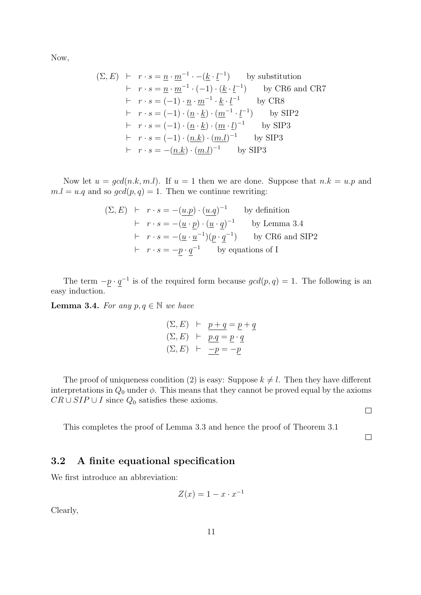Now,

$$
(\Sigma, E) \vdash r \cdot s = \underline{n} \cdot \underline{m}^{-1} \cdot -(\underline{k} \cdot \underline{l}^{-1}) \qquad \text{by substitution}
$$
  
\n
$$
\vdash r \cdot s = \underline{n} \cdot \underline{m}^{-1} \cdot (-1) \cdot (\underline{k} \cdot \underline{l}^{-1}) \qquad \text{by CR6 and CR7}
$$
  
\n
$$
\vdash r \cdot s = (-1) \cdot \underline{n} \cdot \underline{m}^{-1} \cdot \underline{k} \cdot \underline{l}^{-1} \qquad \text{by CR8}
$$
  
\n
$$
\vdash r \cdot s = (-1) \cdot (\underline{n} \cdot \underline{k}) \cdot (\underline{m}^{-1} \cdot \underline{l}^{-1}) \qquad \text{by SIP2}
$$
  
\n
$$
\vdash r \cdot s = (-1) \cdot (\underline{n} \cdot \underline{k}) \cdot (\underline{m} \cdot \underline{l})^{-1} \qquad \text{by SIP3}
$$
  
\n
$$
\vdash r \cdot s = (-1) \cdot (\underline{n} \cdot \underline{k}) \cdot (\underline{m} \cdot \underline{l})^{-1} \qquad \text{by SIP3}
$$
  
\n
$$
\vdash r \cdot s = -(\underline{n} \cdot \underline{k}) \cdot (\underline{m} \cdot \underline{l})^{-1} \qquad \text{by SIP3}
$$

Now let  $u = gcd(n,k,m,l)$ . If  $u = 1$  then we are done. Suppose that  $n.k = u.p$  and  $m.l = u.q$  and so  $gcd(p,q) = 1$ . Then we continue rewriting:

$$
(\Sigma, E) \vdash r \cdot s = -(\underline{u} \cdot \underline{p}) \cdot (\underline{u} \cdot \underline{q})^{-1} \qquad \text{by definition}
$$
  
 
$$
\vdash r \cdot s = -(\underline{u} \cdot \underline{p}) \cdot (\underline{u} \cdot \underline{q})^{-1} \qquad \text{by Lemma 3.4}
$$
  
 
$$
\vdash r \cdot s = -(\underline{u} \cdot \underline{u}^{-1})(\underline{p} \cdot \underline{q}^{-1}) \qquad \text{by CR6 and SIP2}
$$
  
 
$$
\vdash r \cdot s = -\underline{p} \cdot \underline{q}^{-1} \qquad \text{by equations of I}
$$

The term  $-p \cdot q^{-1}$  is of the required form because  $gcd(p, q) = 1$ . The following is an easy induction.

**Lemma 3.4.** For any  $p, q \in \mathbb{N}$  we have

$$
\begin{array}{rcl}\n(\Sigma, E) & \vdash & \underline{p + q} = \underline{p + q} \\
(\Sigma, E) & \vdash & \underline{p.q} = \underline{p \cdot q} \\
(\Sigma, E) & \vdash & \underline{-p} = -\underline{p}\n\end{array}
$$

The proof of uniqueness condition (2) is easy: Suppose  $k \neq l$ . Then they have different interpretations in  $Q_0$  under  $\phi$ . This means that they cannot be proved equal by the axioms  $CR \cup SIP \cup I$  since  $Q_0$  satisfies these axioms.

 $\Box$ 

This completes the proof of Lemma 3.3 and hence the proof of Theorem 3.1

 $\Box$ 

## 3.2 A finite equational specification

We first introduce an abbreviation:

$$
Z(x) = 1 - x \cdot x^{-1}
$$

Clearly,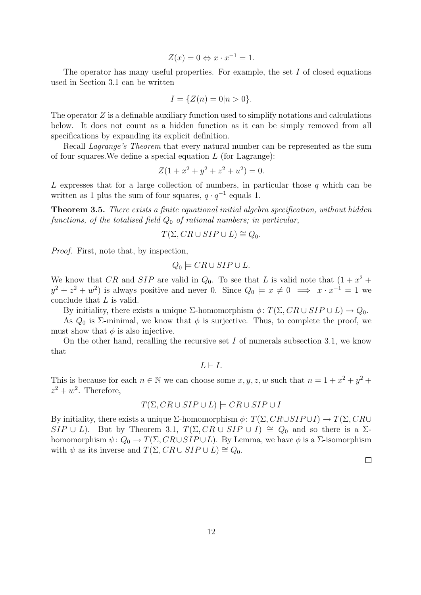$$
Z(x) = 0 \Leftrightarrow x \cdot x^{-1} = 1.
$$

The operator has many useful properties. For example, the set I of closed equations used in Section 3.1 can be written

$$
I = \{ Z(\underline{n}) = 0 | n > 0 \}.
$$

The operator  $Z$  is a definable auxiliary function used to simplify notations and calculations below. It does not count as a hidden function as it can be simply removed from all specifications by expanding its explicit definition.

Recall *Lagrange's Theorem* that every natural number can be represented as the sum of four squares. We define a special equation  $L$  (for Lagrange):

$$
Z(1 + x^2 + y^2 + z^2 + u^2) = 0.
$$

L expresses that for a large collection of numbers, in particular those  $q$  which can be written as 1 plus the sum of four squares,  $q \cdot q^{-1}$  equals 1.

Theorem 3.5. There exists a finite equational initial algebra specification, without hidden functions, of the totalised field  $Q_0$  of rational numbers; in particular,

$$
T(\Sigma, CR \cup SIP \cup L) \cong Q_0.
$$

Proof. First, note that, by inspection,

$$
Q_0 \models CR \cup SIP \cup L.
$$

We know that CR and SIP are valid in  $Q_0$ . To see that L is valid note that  $(1 + x^2 +$  $y^2 + z^2 + w^2$  is always positive and never 0. Since  $Q_0 \models x \neq 0 \implies x \cdot x^{-1} = 1$  we conclude that L is valid.

By initiality, there exists a unique  $\Sigma$ -homomorphism  $\phi: T(\Sigma, CR \cup SIP \cup L) \rightarrow Q_0$ .

As  $Q_0$  is  $\Sigma$ -minimal, we know that  $\phi$  is surjective. Thus, to complete the proof, we must show that  $\phi$  is also injective.

On the other hand, recalling the recursive set  $I$  of numerals subsection 3.1, we know that

 $L \vdash I$ 

This is because for each  $n \in \mathbb{N}$  we can choose some  $x, y, z, w$  such that  $n = 1 + x^2 + y^2 + z^2$  $z^2 + w^2$ . Therefore,

#### $T(\Sigma, CR \cup SIP \cup L) \models CR \cup SIP \cup I$

By initiality, there exists a unique  $\Sigma$ -homomorphism  $\phi: T(\Sigma, CR\cup SIP\cup I) \to T(\Sigma, CR\cup I)$ SIP ∪ L). But by Theorem 3.1,  $T(\Sigma, CR \cup SIP \cup I) \cong Q_0$  and so there is a  $\Sigma$ homomorphism  $\psi: Q_0 \to T(\Sigma, CR \cup SIP \cup L)$ . By Lemma, we have  $\phi$  is a  $\Sigma$ -isomorphism with  $\psi$  as its inverse and  $T(\Sigma, CR \cup SIP \cup L) \cong Q_0$ .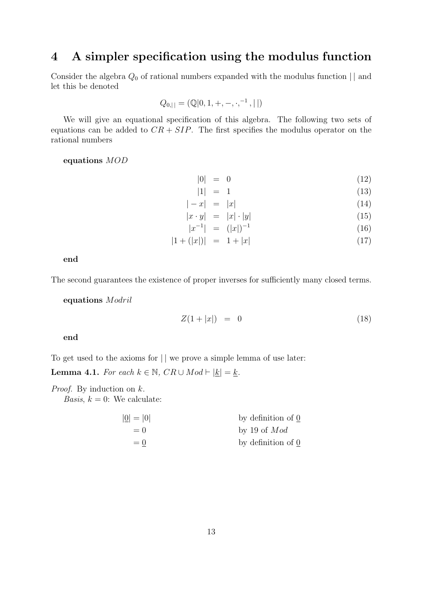# 4 A simpler specification using the modulus function

Consider the algebra  $Q_0$  of rational numbers expanded with the modulus function  $||$  and let this be denoted

$$
Q_{0,||} = (\mathbb{Q}[0, 1, +, -, \cdot, ^{-1}, ||))
$$

We will give an equational specification of this algebra. The following two sets of equations can be added to  $CR + SIP$ . The first specifies the modulus operator on the rational numbers

#### equations MOD

$$
|0| = 0 \tag{12}
$$

$$
|1| = 1 \tag{13}
$$

$$
|-x| = |x| \tag{14}
$$

$$
\begin{array}{rcl}\n|x \cdot y| & = & |x| \cdot |y| \\
|x^{-1}| & = & (|x|)^{-1}\n\end{array}\n\tag{15}
$$

$$
|x^{-1}| = (|x|)^{-1}
$$
  
\n
$$
|1 + (|x|)| = 1 + |x|
$$
\n(16)

end

The second guarantees the existence of proper inverses for sufficiently many closed terms.

equations Modril

$$
Z(1+|x|) = 0 \tag{18}
$$

end

To get used to the axioms for  $||\n$  we prove a simple lemma of use later: **Lemma 4.1.** For each  $k \in \mathbb{N}$ ,  $CR \cup Mod \vdash |\underline{k}| = \underline{k}$ .

*Proof.* By induction on  $k$ .

*Basis,*  $k = 0$ : We calculate:

| by definition of 0 |
|--------------------|
| by 19 of $Mod$     |
| by definition of 0 |
|                    |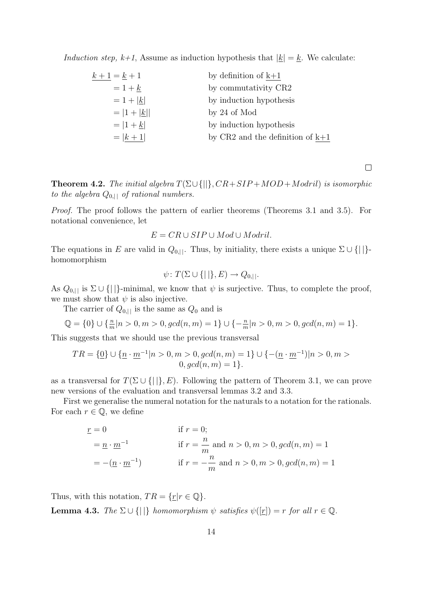Induction step,  $k+1$ , Assume as induction hypothesis that  $|\underline{k}| = \underline{k}$ . We calculate:

| $k + 1 = k + 1$ | by definition of $k+1$               |
|-----------------|--------------------------------------|
| $=1+k$          | by commutativity CR2                 |
| $= 1 +  k $     | by induction hypothesis              |
| $=  1 +  k  $   | by 24 of Mod                         |
| $=  1 + k $     | by induction hypothesis              |
| $=  k+1 $       | by $CR2$ and the definition of $k+1$ |

**Theorem 4.2.** The initial algebra  $T(\Sigma \cup \{||}, CR + SIP + MOD + Modri)$  is isomorphic to the algebra  $Q_{0,||}$  of rational numbers.

Proof. The proof follows the pattern of earlier theorems (Theorems 3.1 and 3.5). For notational convenience, let

$$
E = CR \cup SIP \cup Mod \cup Modril.
$$

The equations in E are valid in  $Q_{0,||}$ . Thus, by initiality, there exists a unique  $\Sigma \cup \{||\}$ homomorphism

$$
\psi \colon T(\Sigma \cup \{|\,|\}, E) \to Q_{0,|\,|}.
$$

As  $Q_{0,||}$  is  $\Sigma \cup \{||\}$ -minimal, we know that  $\psi$  is surjective. Thus, to complete the proof, we must show that  $\psi$  is also injective.

The carrier of  $Q_{0,||}$  is the same as  $Q_0$  and is

$$
\mathbb{Q} = \{0\} \cup \{\frac{n}{m}|n > 0, m > 0, \gcd(n, m) = 1\} \cup \{-\frac{n}{m}|n > 0, m > 0, \gcd(n, m) = 1\}.
$$

This suggests that we should use the previous transversal

$$
TR = \{ \underline{0} \} \cup \{ \underline{n} \cdot \underline{m}^{-1} | n > 0, m > 0, \gcd(n, m) = 1 \} \cup \{ -(\underline{n} \cdot \underline{m}^{-1}) | n > 0, m > 0, \gcd(n, m) = 1 \}.
$$

as a transversal for  $T(\Sigma \cup \{||\}, E)$ . Following the pattern of Theorem 3.1, we can prove new versions of the evaluation and transversal lemmas 3.2 and 3.3.

First we generalise the numeral notation for the naturals to a notation for the rationals. For each  $r \in \mathbb{Q}$ , we define

$$
\begin{aligned}\n\underline{r} &= 0 & \text{if } r = 0; \\
&= \underline{n} \cdot \underline{m}^{-1} & \text{if } r = \frac{n}{m} \text{ and } n > 0, m > 0, \gcd(n, m) = 1 \\
&= -(\underline{n} \cdot \underline{m}^{-1}) & \text{if } r = -\frac{n}{m} \text{ and } n > 0, m > 0, \gcd(n, m) = 1\n\end{aligned}
$$

Thus, with this notation,  $TR = \{r | r \in \mathbb{Q}\}.$ **Lemma 4.3.** The  $\Sigma \cup \{||\}$  homomorphism  $\psi$  satisfies  $\psi([r]) = r$  for all  $r \in \mathbb{Q}$ .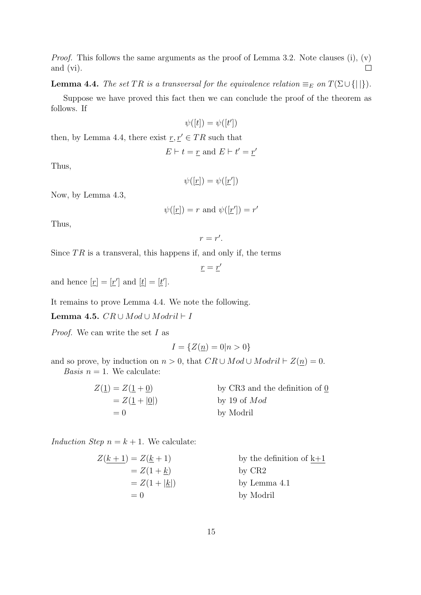*Proof.* This follows the same arguments as the proof of Lemma 3.2. Note clauses (i),  $(v)$ and (vi).  $\Box$ 

**Lemma 4.4.** The set TR is a transversal for the equivalence relation  $\equiv_E$  on  $T(\Sigma \cup \{||\})$ .

Suppose we have proved this fact then we can conclude the proof of the theorem as follows. If

$$
\psi([t]) = \psi([t'])
$$

then, by Lemma 4.4, there exist  $\underline{r}, \underline{r}' \in TR$  such that

$$
E \vdash t = \underline{r} \text{ and } E \vdash t' = \underline{r'}
$$

Thus,

$$
\psi([\underline{r}]) = \psi([\underline{r}'])
$$

Now, by Lemma 4.3,

$$
\psi([r]) = r \text{ and } \psi([r']) = r'
$$

Thus,

$$
r=r'.
$$

Since  $TR$  is a transveral, this happens if, and only if, the terms

 $\underline{r} = \underline{r}'$ 

and hence  $[\underline{r}] = [\underline{r}']$  and  $[\underline{t}] = [\underline{t}']$ .

It remains to prove Lemma 4.4. We note the following.

Lemma 4.5.  $CR ∪ Mod ∪ Modril$  ⊢ I

*Proof.* We can write the set  $I$  as

$$
I = \{ Z(\underline{n}) = 0 | n > 0 \}
$$

and so prove, by induction on  $n > 0$ , that  $CR \cup Mod \cup Modri \vdash Z(n) = 0$ . Basis  $n = 1$ . We calculate:

| $Z(\underline{1}) = Z(\underline{1} + \underline{0})$ | by CR3 and the definition of 0 |
|-------------------------------------------------------|--------------------------------|
| $= Z(1+ 0 )$                                          | by 19 of $Mod$                 |
| $= 0$                                                 | by Modril                      |

Induction Step  $n = k + 1$ . We calculate:

| $Z(k+1) = Z(k+1)$          | by the definition of $k+1$ |
|----------------------------|----------------------------|
| $= Z(1 + k)$               | by $CR2$                   |
| $= Z(1 +  \underline{k} )$ | by Lemma 4.1               |
| $= 0$                      | by Modril                  |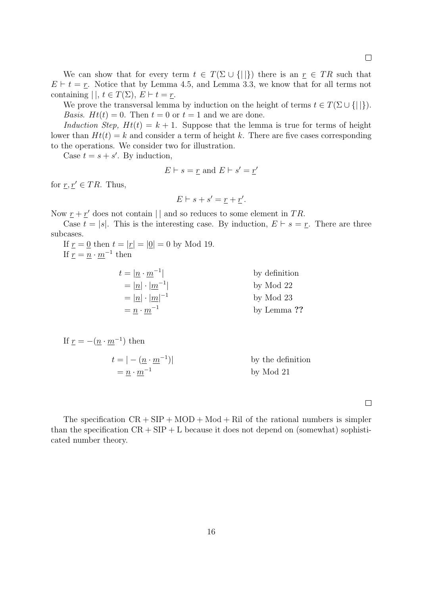We can show that for every term  $t \in T(\Sigma \cup \{||\})$  there is an  $r \in TR$  such that  $E \vdash t = \underline{r}$ . Notice that by Lemma 4.5, and Lemma 3.3, we know that for all terms not containing  $||, t \in T(\Sigma), E \vdash t = \underline{r}.$ 

We prove the transversal lemma by induction on the height of terms  $t \in T(\Sigma \cup \{||\})$ . *Basis.*  $Ht(t) = 0$ . Then  $t = 0$  or  $t = 1$  and we are done.

Induction Step,  $Ht(t) = k + 1$ . Suppose that the lemma is true for terms of height lower than  $H(t) = k$  and consider a term of height k. There are five cases corresponding to the operations. We consider two for illustration.

Case  $t = s + s'$ . By induction,

$$
E \vdash s = \underline{r} \text{ and } E \vdash s' = \underline{r'}
$$

for  $r, r' \in TR$ . Thus,

$$
E \vdash s + s' = \underline{r} + \underline{r}'.
$$

Now  $\underline{r} + \underline{r}'$  does not contain || and so reduces to some element in TR.

Case  $t = |s|$ . This is the interesting case. By induction,  $E \vdash s = r$ . There are three subcases.

If  $r = 0$  then  $t = |r| = |0| = 0$  by Mod 19. If  $\underline{r} = \underline{n} \cdot \underline{m}^{-1}$  then

| $t =  \underline{n} \cdot \underline{m}^{-1} $ | by definition |
|------------------------------------------------|---------------|
| $=  n  \cdot  m^{-1} $                         | by Mod 22     |
| $=  \underline{n}  \cdot  m ^{-1}$             | by Mod 23     |
| $= n \cdot m^{-1}$                             | by Lemma ??   |

If  $\underline{r} = -(\underline{n} \cdot \underline{m}^{-1})$  then  $t = \vert - (\underline{n} \cdot \underline{m}^{-1}) \vert$ 

```
by the definition
=\underline{n}\cdot \underline{m}^{-1}by Mod 21
```
 $\Box$ 

The specification  $CR + SIP + MOD + Mod + Ril$  of the rational numbers is simpler than the specification  $CR + SIP + L$  because it does not depend on (somewhat) sophisticated number theory.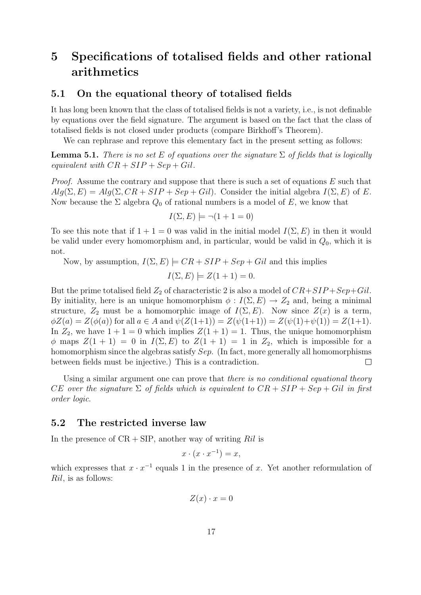# 5 Specifications of totalised fields and other rational arithmetics

#### 5.1 On the equational theory of totalised fields

It has long been known that the class of totalised fields is not a variety, i.e., is not definable by equations over the field signature. The argument is based on the fact that the class of totalised fields is not closed under products (compare Birkhoff's Theorem).

We can rephrase and reprove this elementary fact in the present setting as follows:

**Lemma 5.1.** There is no set E of equations over the signature  $\Sigma$  of fields that is logically equivalent with  $CR + SIP + Sep + Gil$ .

*Proof.* Assume the contrary and suppose that there is such a set of equations  $E$  such that  $Alg(\Sigma, E) = Alg(\Sigma, CR + SIP + Sep + Gil)$ . Consider the initial algebra  $I(\Sigma, E)$  of E. Now because the  $\Sigma$  algebra  $Q_0$  of rational numbers is a model of E, we know that

$$
I(\Sigma, E) \models \neg(1 + 1 = 0)
$$

To see this note that if  $1 + 1 = 0$  was valid in the initial model  $I(\Sigma, E)$  in then it would be valid under every homomorphism and, in particular, would be valid in  $Q_0$ , which it is not.

Now, by assumption,  $I(\Sigma, E) \models CR + SIP + Sep + Gil$  and this implies

$$
I(\Sigma, E) \models Z(1+1) = 0.
$$

But the prime totalised field  $Z_2$  of characteristic 2 is also a model of  $CR + SIP + Sep + Gil$ . By initiality, here is an unique homomorphism  $\phi: I(\Sigma, E) \to Z_2$  and, being a minimal structure,  $Z_2$  must be a homomorphic image of  $I(\Sigma, E)$ . Now since  $Z(x)$  is a term,  $\phi Z(a) = Z(\phi(a))$  for all  $a \in A$  and  $\psi(Z(1+1)) = Z(\psi(1+1)) = Z(\psi(1)+\psi(1)) = Z(1+1)$ . In  $Z_2$ , we have  $1 + 1 = 0$  which implies  $Z(1 + 1) = 1$ . Thus, the unique homomorphism  $\phi$  maps  $Z(1 + 1) = 0$  in  $I(\Sigma, E)$  to  $Z(1 + 1) = 1$  in  $Z_2$ , which is impossible for a homomorphism since the algebras satisfy Sep. (In fact, more generally all homomorphisms between fields must be injective.) This is a contradiction.  $\Box$ 

Using a similar argument one can prove that there is no conditional equational theory CE over the signature  $\Sigma$  of fields which is equivalent to  $CR + SIP + Sep + Gil$  in first order logic.

#### 5.2 The restricted inverse law

In the presence of  $CR + SIP$ , another way of writing Ril is

$$
x \cdot (x \cdot x^{-1}) = x,
$$

which expresses that  $x \cdot x^{-1}$  equals 1 in the presence of x. Yet another reformulation of Ril, is as follows:

$$
Z(x) \cdot x = 0
$$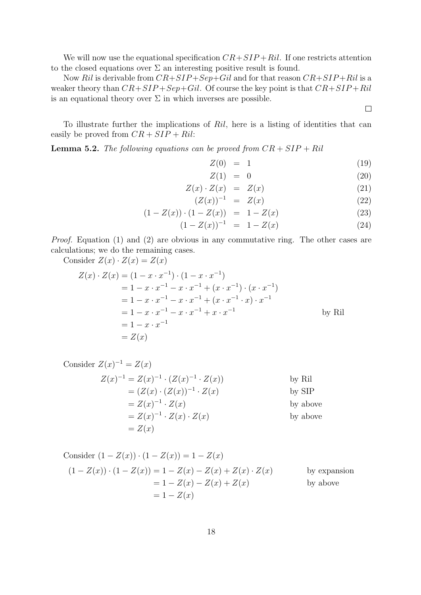We will now use the equational specification  $CR + SIP +Ril$ . If one restricts attention to the closed equations over  $\Sigma$  an interesting positive result is found.

Now Ril is derivable from  $CR + SIP + Sep + Gil$  and for that reason  $CR + SIP + Ril$  is a weaker theory than  $CR+SIP+Sep+Gil$ . Of course the key point is that  $CR+SIP+Ril$ is an equational theory over  $\Sigma$  in which inverses are possible.

 $\Box$ 

To illustrate further the implications of Ril, here is a listing of identities that can easily be proved from  $CR + SIP + Ril$ :

**Lemma 5.2.** The following equations can be proved from  $CR + SIP + Ril$ 

$$
Z(0) = 1 \tag{19}
$$

$$
Z(1) = 0 \tag{20}
$$

$$
Z(x) \cdot Z(x) = Z(x) \tag{21}
$$

$$
(Z(x))^{-1} = Z(x) \tag{22}
$$

$$
(1 - Z(x)) \cdot (1 - Z(x)) = 1 - Z(x) \tag{23}
$$

$$
(1 - Z(x))^{-1} = 1 - Z(x) \tag{24}
$$

Proof. Equation (1) and (2) are obvious in any commutative ring. The other cases are calculations; we do the remaining cases.

Consider 
$$
Z(x) \cdot Z(x) = Z(x)
$$
  
\n
$$
Z(x) \cdot Z(x) = (1 - x \cdot x^{-1}) \cdot (1 - x \cdot x^{-1})
$$
\n
$$
= 1 - x \cdot x^{-1} - x \cdot x^{-1} + (x \cdot x^{-1}) \cdot (x \cdot x^{-1})
$$
\n
$$
= 1 - x \cdot x^{-1} - x \cdot x^{-1} + (x \cdot x^{-1} \cdot x) \cdot x^{-1}
$$
\n
$$
= 1 - x \cdot x^{-1} - x \cdot x^{-1} + x \cdot x^{-1}
$$
\nby Ril  
\n
$$
= 1 - x \cdot x^{-1}
$$
\n
$$
= Z(x)
$$

Consider 
$$
Z(x)^{-1} = Z(x)
$$
  
\n
$$
Z(x)^{-1} = Z(x)^{-1} \cdot (Z(x)^{-1} \cdot Z(x))
$$
\nby Ril  
\n
$$
= (Z(x) \cdot (Z(x))^{-1} \cdot Z(x))
$$
\nby SIP  
\n
$$
= Z(x)^{-1} \cdot Z(x)
$$
\nby above  
\n
$$
= Z(x)^{-1} \cdot Z(x) \cdot Z(x)
$$
\nby above  
\nby above  
\nby above

Consider 
$$
(1 - Z(x)) \cdot (1 - Z(x)) = 1 - Z(x)
$$
  
\n $(1 - Z(x)) \cdot (1 - Z(x)) = 1 - Z(x) - Z(x) + Z(x) \cdot Z(x)$  by expansion  
\n $= 1 - Z(x) - Z(x) + Z(x)$  by above  
\n $= 1 - Z(x)$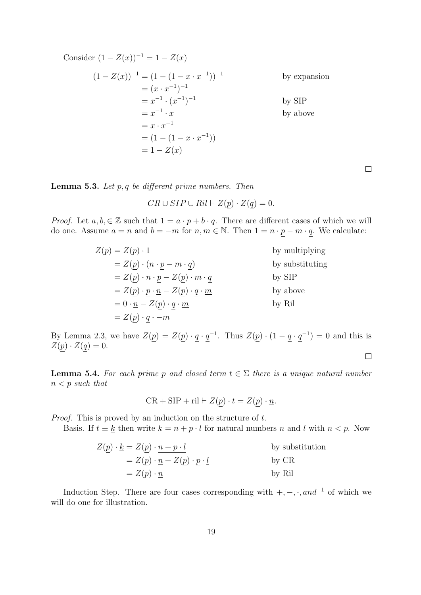Consider  $(1 - Z(x))^{-1} = 1 - Z(x)$  $(1 - Z(x))^{-1} = (1 - (1 - x \cdot x^{-1}))^{-1}$ by expansion  $=(x \cdot x^{-1})^{-1}$  $= x^{-1} \cdot (x^{-1})^{-1}$ by SIP  $= x^{-1}$ by above  $= x \cdot x^{-1}$  $= (1 - (1 - x \cdot x^{-1}))$  $= 1 - Z(x)$ 

**Lemma 5.3.** Let  $p, q$  be different prime numbers. Then

 $CR \cup SIP \cup Ril \vdash Z(p) \cdot Z(q) = 0.$ 

*Proof.* Let  $a, b \in \mathbb{Z}$  such that  $1 = a \cdot p + b \cdot q$ . There are different cases of which we will do one. Assume  $a = n$  and  $b = -m$  for  $n, m \in \mathbb{N}$ . Then  $\underline{1} = \underline{n} \cdot p - \underline{m} \cdot q$ . We calculate:

| $Z(p) = Z(p) \cdot 1$                                                   | by multiplying  |
|-------------------------------------------------------------------------|-----------------|
| $= Z(p) \cdot (p \cdot p - m \cdot q)$                                  | by substituting |
| $= Z(p) \cdot \underline{n} \cdot p - Z(p) \cdot \underline{m} \cdot q$ | by SIP          |
| $Z(p) \cdot p \cdot \underline{n} - Z(p) \cdot q \cdot \underline{m}$   | by above        |
| $= 0 \cdot \underline{n} - Z(p) \cdot q \cdot \underline{m}$            | by Ril          |
| $= Z(p) \cdot q \cdot -m$                                               |                 |

By Lemma 2.3, we have  $Z(p) = Z(p) \cdot q \cdot q^{-1}$ . Thus  $Z(p) \cdot (1 - q \cdot q^{-1}) = 0$  and this is  $Z(p) \cdot Z(q) = 0.$  $\Box$ 

**Lemma 5.4.** For each prime p and closed term  $t \in \Sigma$  there is a unique natural number  $n < p$  such that

$$
CR + SIP + ril \vdash Z(p) \cdot t = Z(p) \cdot \underline{n}.
$$

Proof. This is proved by an induction on the structure of t.

Basis. If  $t \equiv k$  then write  $k = n + p \cdot l$  for natural numbers n and l with  $n < p$ . Now

$$
Z(\underline{p}) \cdot \underline{k} = Z(\underline{p}) \cdot \underline{n + p \cdot l} \qquad \text{by substitution}
$$
  
=  $Z(\underline{p}) \cdot \underline{n} + Z(\underline{p}) \cdot \underline{p} \cdot \underline{l} \qquad \text{by CR}$   
=  $Z(\underline{p}) \cdot \underline{n} \qquad \text{by Ril}$ 

Induction Step. There are four cases corresponding with  $+,-, \cdot$ , and<sup>-1</sup> of which we will do one for illustration.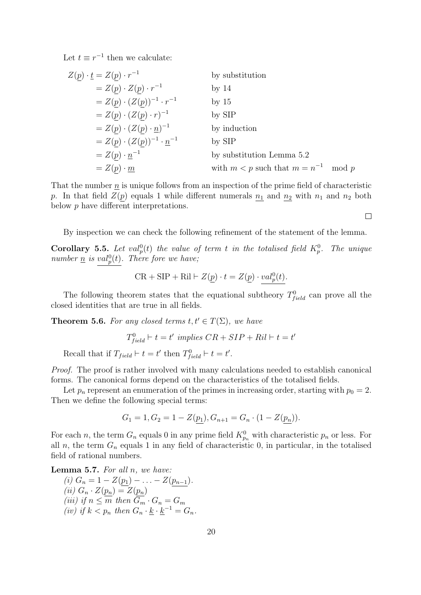Let  $t \equiv r^{-1}$  then we calculate:

$$
Z(\underline{p}) \cdot \underline{t} = Z(\underline{p}) \cdot r^{-1}
$$
 by substitution  
\n
$$
= Z(\underline{p}) \cdot Z(\underline{p}) \cdot r^{-1}
$$
 by 14  
\n
$$
= Z(\underline{p}) \cdot (Z(\underline{p}))^{-1} \cdot r^{-1}
$$
 by 15  
\n
$$
= Z(\underline{p}) \cdot (Z(\underline{p}) \cdot r)^{-1}
$$
 by SIP  
\n
$$
= Z(\underline{p}) \cdot (Z(\underline{p}) \cdot \underline{n})^{-1}
$$
 by induction  
\n
$$
= Z(\underline{p}) \cdot (Z(\underline{p}))^{-1} \cdot \underline{n}^{-1}
$$
 by SIP  
\n
$$
= Z(\underline{p}) \cdot \underline{n}^{-1}
$$
 by substitution Lemma 5.2  
\n
$$
= Z(\underline{p}) \cdot \underline{m}
$$
 with  $m < p$  such that  $m = n^{-1}$  mod  $p$ 

That the number  $\underline{n}$  is unique follows from an inspection of the prime field of characteristic p. In that field  $Z(p)$  equals 1 while different numerals  $n_1$  and  $n_2$  with  $n_1$  and  $n_2$  both below p have different interpretations.

 $\Box$ 

By inspection we can check the following refinement of the statement of the lemma.

**Corollary 5.5.** Let  $val_p^0(t)$  the value of term t in the totalised field  $K_p^0$ . The unique number  $\underline{n}$  is val<sub>p</sub>(t). There fore we have;

$$
CR + SIP + Ril \vdash Z(\underline{p}) \cdot t = Z(\underline{p}) \cdot val_p^0(t).
$$

The following theorem states that the equational subtheory  $T_{field}^0$  can prove all the closed identities that are true in all fields.

**Theorem 5.6.** For any closed terms  $t, t' \in T(\Sigma)$ , we have

$$
T_{field}^{0} \vdash t = t' \ implies \ CR + SIP + Ril \vdash t = t'
$$

Recall that if  $T_{field} \vdash t = t'$  then  $T_{field}^0 \vdash t = t'$ .

Proof. The proof is rather involved with many calculations needed to establish canonical forms. The canonical forms depend on the characteristics of the totalised fields.

Let  $p_n$  represent an enumeration of the primes in increasing order, starting with  $p_0 = 2$ . Then we define the following special terms:

$$
G_1 = 1, G_2 = 1 - Z(p_1), G_{n+1} = G_n \cdot (1 - Z(p_n)).
$$

For each n, the term  $G_n$  equals 0 in any prime field  $K_{p_n}^0$  with characteristic  $p_n$  or less. For all n, the term  $G_n$  equals 1 in any field of characteristic 0, in particular, in the totalised field of rational numbers.

**Lemma 5.7.** For all  $n$ , we have:

(i) 
$$
G_n = 1 - Z(\underline{p_1}) - \ldots - Z(\underline{p_{n-1}}).
$$
  
\n(ii)  $G_n \cdot Z(\underline{p_n}) = Z(\underline{p_n})$   
\n(iii) if  $n \leq m$  then  $\overline{G_m} \cdot G_n = G_m$   
\n(iv) if  $k < p_n$  then  $G_n \cdot \underline{k} \cdot \underline{k}^{-1} = G_n$ .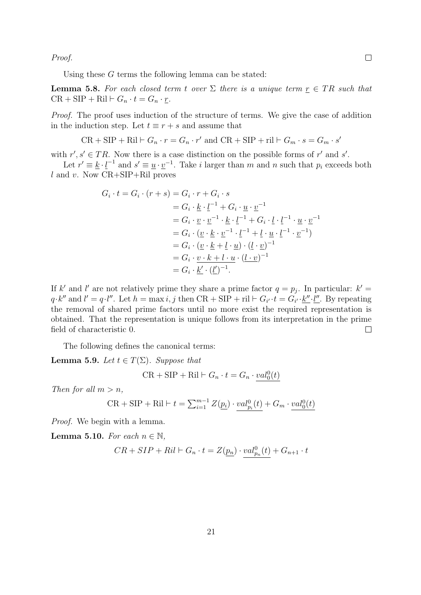Proof.

Using these  $G$  terms the following lemma can be stated:

**Lemma 5.8.** For each closed term t over  $\Sigma$  there is a unique term  $r \in TR$  such that  $CR + SIP + Ril \vdash G_n \cdot t = G_n \cdot r.$ 

Proof. The proof uses induction of the structure of terms. We give the case of addition in the induction step. Let  $t \equiv r + s$  and assume that

 $CR + SIP + Ril \vdash G_n \cdot r = G_n \cdot r'$  and  $CR + SIP + ri \vdash G_m \cdot s = G_m \cdot s'$ 

with  $r', s' \in TR$ . Now there is a case distinction on the possible forms of r' and s'.

Let  $r' \equiv \underline{k} \cdot \underline{l}^{-1}$  and  $s' \equiv \underline{u} \cdot \underline{v}^{-1}$ . Take i larger than m and n such that  $p_i$  exceeds both  $l$  and  $v$ . Now  $CR + SIP +Ril$  proves

$$
G_i \cdot t = G_i \cdot (r+s) = G_i \cdot r + G_i \cdot s
$$
  
\n
$$
= G_i \cdot \underline{k} \cdot \underline{l}^{-1} + G_i \cdot \underline{u} \cdot \underline{v}^{-1}
$$
  
\n
$$
= G_i \cdot \underline{v} \cdot \underline{v}^{-1} \cdot \underline{k} \cdot \underline{l}^{-1} + G_i \cdot \underline{l} \cdot \underline{l}^{-1} \cdot \underline{u} \cdot \underline{v}^{-1}
$$
  
\n
$$
= G_i \cdot (\underline{v} \cdot \underline{k} \cdot \underline{v}^{-1} \cdot \underline{l}^{-1} + \underline{l} \cdot \underline{u} \cdot \underline{l}^{-1} \cdot \underline{v}^{-1})
$$
  
\n
$$
= G_i \cdot (\underline{v} \cdot \underline{k} + \underline{l} \cdot \underline{u}) \cdot (\underline{l} \cdot \underline{v})^{-1}
$$
  
\n
$$
= G_i \cdot \underline{v} \cdot k + l \cdot \underline{u} \cdot (\underline{l} \cdot \underline{v})^{-1}
$$
  
\n
$$
= G_i \cdot \underline{k'} \cdot (\underline{l'})^{-1}.
$$

If k' and l' are not relatively prime they share a prime factor  $q = p_j$ . In particular:  $k' =$  $q \cdot k''$  and  $l' = q \cdot l''$ . Let  $h = \max i, j$  then  $CR + SIP + ril \vdash G_{i'} \cdot t = G_{i'} \cdot \underline{k''} \cdot \underline{l''}$ . By repeating the removal of shared prime factors until no more exist the required representation is obtained. That the representation is unique follows from its interpretation in the prime field of characteristic 0.  $\Box$ 

The following defines the canonical terms:

**Lemma 5.9.** Let  $t \in T(\Sigma)$ . Suppose that

$$
CR + SIP + Ril \vdash G_n \cdot t = G_n \cdot \underline{val}_0^0(t)
$$

Then for all  $m > n$ ,

$$
CR + SIP + Ril \vdash t = \sum_{i=1}^{m-1} Z(\underline{p_i}) \cdot \underline{val}_{p_i}^0(t) + G_m \cdot \underline{val}_0^0(t)
$$

Proof. We begin with a lemma.

Lemma 5.10. For each  $n \in \mathbb{N}$ ,

$$
CR+SIP+Ril\vdash G_n\cdot t=Z(\underline{p_n})\cdot val_{p_n}^0(t)+G_{n+1}\cdot t
$$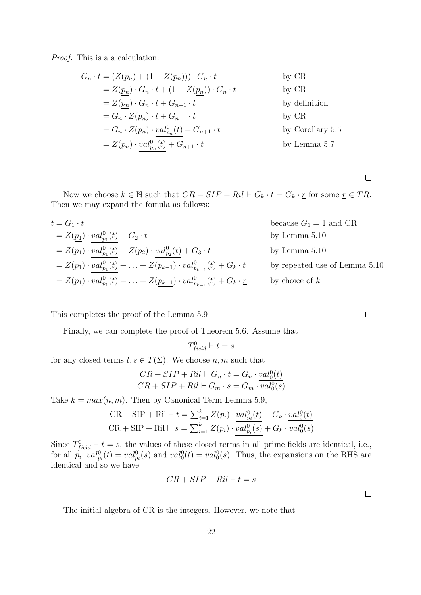Proof. This is a a calculation:

$$
G_n \cdot t = (Z(\underline{p_n}) + (1 - Z(\underline{p_n}))) \cdot G_n \cdot t \qquad \text{by CR}
$$
  
\n
$$
= Z(\underline{p_n}) \cdot G_n \cdot t + (1 - Z(\underline{p_n})) \cdot G_n \cdot t \qquad \text{by CR}
$$
  
\n
$$
= Z(\underline{p_n}) \cdot G_n \cdot t + G_{n+1} \cdot t \qquad \text{by definition}
$$
  
\n
$$
= G_n \cdot Z(\underline{p_n}) \cdot t + G_{n+1} \cdot t \qquad \text{by CR}
$$
  
\n
$$
= G_n \cdot Z(\underline{p_n}) \cdot \frac{val_{p_n}^0(t)}{t} + G_{n+1} \cdot t \qquad \text{by Corollary 5.5}
$$
  
\n
$$
= Z(\underline{p_n}) \cdot \frac{val_{p_n}^0(t)}{t} + G_{n+1} \cdot t \qquad \text{by Lemma 5.7}
$$

 $\Box$ 

Now we choose  $k \in \mathbb{N}$  such that  $CR + SIP + Ril \vdash G_k \cdot t = G_k \cdot \underline{r}$  for some  $\underline{r} \in TR$ . Then we may expand the fomula as follows:

$$
t = G_1 \cdot t
$$
 because  $G_1 = 1$  and CR  
\n
$$
= Z(\underline{p_1}) \cdot \underline{val}_{p_1}^0(t) + G_2 \cdot t
$$
 by Lemma 5.10  
\n
$$
= Z(\underline{p_1}) \cdot \underline{val}_{p_1}^0(t) + Z(\underline{p_2}) \cdot \underline{val}_{p_2}^0(t) + G_3 \cdot t
$$
 by Lemma 5.10  
\n
$$
= Z(\underline{p_1}) \cdot \underline{val}_{p_1}^0(t) + \ldots + Z(\underline{p_{k-1}}) \cdot \underline{val}_{p_{k-1}}^0(t) + G_k \cdot t
$$
 by repeated use of Lemma 5.10  
\n
$$
= Z(\underline{p_1}) \cdot \underline{val}_{p_1}^0(t) + \ldots + Z(\underline{p_{k-1}}) \cdot \underline{val}_{p_{k-1}}^0(t) + G_k \cdot \underline{r}
$$
 by choice of  $k$ 

This completes the proof of the Lemma 5.9

Finally, we can complete the proof of Theorem 5.6. Assume that

$$
T_{field}^0 \vdash t = s
$$

for any closed terms  $t, s \in T(\Sigma)$ . We choose  $n, m$  such that

$$
CR + SIP + Ril \vdash G_n \cdot t = G_n \cdot \frac{val_0^0(t)}{CR + SIP + Ril \vdash G_m \cdot s = G_m \cdot \frac{val_0^0(s)}{val_0^0(s)}
$$

Take  $k = max(n, m)$ . Then by Canonical Term Lemma 5.9,

$$
CR + SIP + Ril \vdash t = \sum_{i=1}^{k} Z(\underline{p_i}) \cdot \underline{val}_{p_i}^0(t) + G_k \cdot \underline{val}_0^0(t)
$$
  

$$
CR + SIP + Ril \vdash s = \sum_{i=1}^{k} Z(\underline{p_i}) \cdot \overline{val}_{p_i}^0(s) + G_k \cdot \underline{val}_0^0(s)
$$

Since  $T_{field}^0 \vdash t = s$ , the values of these closed terms in all prime fields are identical, i.e., for all  $p_i$ ,  $val_{p_i}^0(t) = val_{p_i}^0(s)$  and  $val_0^0(t) = val_0^0(s)$ . Thus, the expansions on the RHS are identical and so we have

$$
CR + SIP + Ril \vdash t = s
$$

 $\Box$ 

The initial algebra of CR is the integers. However, we note that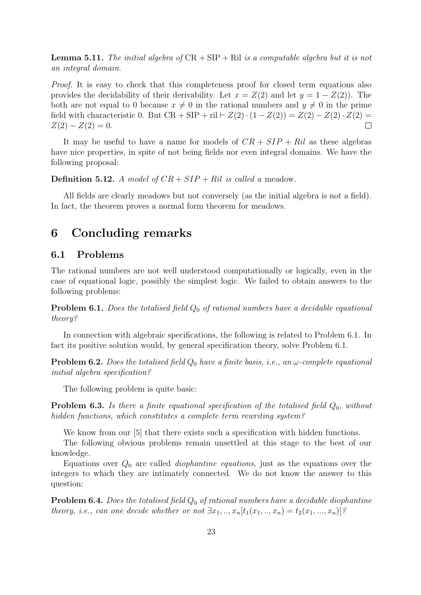**Lemma 5.11.** The initial algebra of  $CR + SIP + Ril$  is a computable algebra but it is not an integral domain.

Proof. It is easy to check that this completeness proof for closed term equations also provides the decidability of their derivability. Let  $x = Z(2)$  and let  $y = 1 - Z(2)$ . The both are not equal to 0 because  $x \neq 0$  in the rational numbers and  $y \neq 0$  in the prime field with characteristic 0. But  $CR + SIP + ril \vdash Z(2) \cdot (1 - Z(2)) = Z(2) - Z(2) \cdot Z(2) =$  $Z(2) - Z(2) = 0.$  $\Box$ 

It may be useful to have a name for models of  $CR + SIP + Ril$  as these algebras have nice properties, in spite of not being fields nor even integral domains. We have the following proposal:

**Definition 5.12.** A model of  $CR + SIP + Ril$  is called a meadow.

All fields are clearly meadows but not conversely (as the initial algebra is not a field). In fact, the theorem proves a normal form theorem for meadows.

# 6 Concluding remarks

#### 6.1 Problems

The rational numbers are not well understood computationally or logically, even in the case of equational logic, possibly the simplest logic. We failed to obtain answers to the following problems:

**Problem 6.1.** Does the totalised field  $Q_0$  of rational numbers have a decidable equational theory?

In connection with algebraic specifications, the following is related to Problem 6.1. In fact its positive solution would, by general specification theory, solve Problem 6.1.

**Problem 6.2.** Does the totalised field  $Q_0$  have a finite basis, i.e., an  $\omega$ -complete equational initial algebra specification?

The following problem is quite basic:

**Problem 6.3.** Is there a finite equational specification of the totalised field  $Q_0$ , without hidden functions, which constitutes a complete term rewriting system?

We know from our [5] that there exists such a specification with hidden functions.

The following obvious problems remain unsettled at this stage to the best of our knowledge.

Equations over  $Q_0$  are called *diophantine equations*, just as the equations over the integers to which they are intimately connected. We do not know the answer to this question:

**Problem 6.4.** Does the totalised field  $Q_0$  of rational numbers have a decidable diophantine theory, i.e., can one decide whether or not  $\exists x_1, ..., x_n [t_1(x_1, ..., x_n) = t_2(x_1, ..., x_n)]$ ?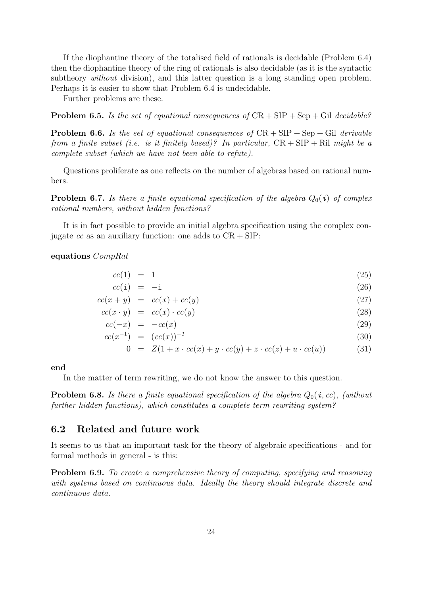If the diophantine theory of the totalised field of rationals is decidable (Problem 6.4) then the diophantine theory of the ring of rationals is also decidable (as it is the syntactic subtheory *without* division), and this latter question is a long standing open problem. Perhaps it is easier to show that Problem 6.4 is undecidable.

Further problems are these.

**Problem 6.5.** Is the set of equational consequences of  $CR + SIP + Sep + Gil$  decidable?

**Problem 6.6.** Is the set of equational consequences of  $CR + SIP + Sep + Gil$  derivable from a finite subset (i.e. is it finitely based)? In particular,  $CR + SIP + Ril$  might be a complete subset (which we have not been able to refute).

Questions proliferate as one reflects on the number of algebras based on rational numbers.

**Problem 6.7.** Is there a finite equational specification of the algebra  $Q_0(i)$  of complex rational numbers, without hidden functions?

It is in fact possible to provide an initial algebra specification using the complex conjugate cc as an auxiliary function: one adds to  $CR + SIP$ :

equations CompRat

$$
cc(1) = 1 \tag{25}
$$

$$
cc(i) = -i \tag{26}
$$

$$
cc(x+y) = cc(x) + cc(y)
$$
\n
$$
(27)
$$

$$
cc(x \cdot y) = cc(x) \cdot cc(y) \tag{28}
$$

$$
cc(-x) = -cc(x) \tag{29}
$$

$$
cc(x^{-1}) = (cc(x))^{-1}
$$
\n(30)

$$
0 = Z(1 + x \cdot cc(x) + y \cdot cc(y) + z \cdot cc(z) + u \cdot cc(u)) \tag{31}
$$

end

In the matter of term rewriting, we do not know the answer to this question.

**Problem 6.8.** Is there a finite equational specification of the algebra  $Q_0(i, cc)$ , (without further hidden functions), which constitutes a complete term rewriting system?

### 6.2 Related and future work

It seems to us that an important task for the theory of algebraic specifications - and for formal methods in general - is this:

Problem 6.9. To create a comprehensive theory of computing, specifying and reasoning with systems based on continuous data. Ideally the theory should integrate discrete and continuous data.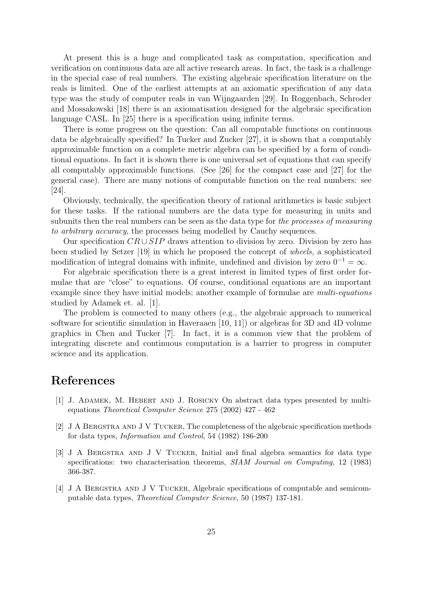At present this is a huge and complicated task as computation, specification and verification on continuous data are all active research areas. In fact, the task is a challenge in the special case of real numbers. The existing algebraic specification literature on the reals is limited. One of the earliest attempts at an axiomatic specification of any data type was the study of computer reals in van Wijngaarden [29]. In Roggenbach, Schroder and Mossakowski [18] there is an axiomatisation designed for the algebraic specification language CASL. In [25] there is a specification using infinite terms.

There is some progress on the question: Can all computable functions on continuous data be algebraically specified? In Tucker and Zucker [27], it is shown that a computably approximable function on a complete metric algebra can be specified by a form of conditional equations. In fact it is shown there is one universal set of equations that can specify all computably approximable functions. (See [26] for the compact case and [27] for the general case). There are many notions of computable function on the real numbers: see [24].

Obviously, technically, the specification theory of rational arithmetics is basic subject for these tasks. If the rational numbers are the data type for measuring in units and subunits then the real numbers can be seen as the data type for the processes of measuring to arbitrary accuracy, the processes being modelled by Cauchy sequences.

Our specification  $CR \cup SIP$  draws attention to division by zero. Division by zero has been studied by Setzer [19] in which he proposed the concept of wheels, a sophisticated modification of integral domains with infinite, undefined and division by zero  $0^{-1} = \infty$ .

For algebraic specification there is a great interest in limited types of first order formulae that are "close" to equations. Of course, conditional equations are an important example since they have initial models; another example of formulae are *multi-equations* studied by Adamek et. al. [1].

The problem is connected to many others (e.g., the algebraic approach to numerical software for scientific simulation in Haveraaen [10, 11]) or algebras for 3D and 4D volume graphics in Chen and Tucker [7]. In fact, it is a common view that the problem of integrating discrete and continuous computation is a barrier to progress in computer science and its application.

# References

- [1] J. Adamek, M. Hebert and J. Rosicky On abstract data types presented by multiequations Theoretical Computer Science 275 (2002) 427 - 462
- [2] J A Bergstra and J V Tucker, The completeness of the algebraic specification methods for data types, Information and Control, 54 (1982) 186-200
- [3] J A Bergstra and J V Tucker, Initial and final algebra semantics for data type specifications: two characterisation theorems, *SIAM Journal on Computing*, 12 (1983) 366-387.
- [4] J A Bergstra and J V Tucker, Algebraic specifications of computable and semicomputable data types, Theoretical Computer Science, 50 (1987) 137-181.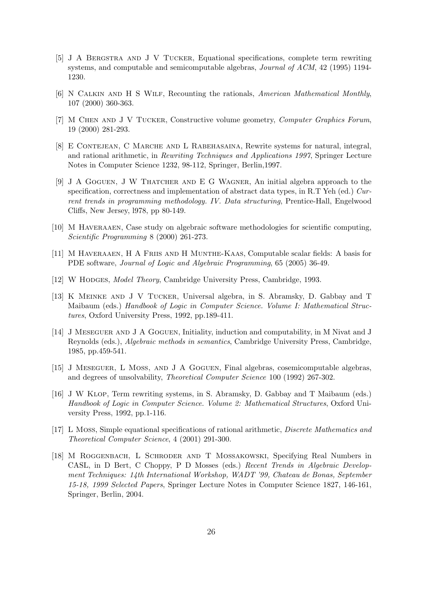- [5] J A Bergstra and J V Tucker, Equational specifications, complete term rewriting systems, and computable and semicomputable algebras, Journal of ACM, 42 (1995) 1194- 1230.
- [6] N Calkin and H S Wilf, Recounting the rationals, American Mathematical Monthly, 107 (2000) 360-363.
- [7] M Chen and J V Tucker, Constructive volume geometry, Computer Graphics Forum, 19 (2000) 281-293.
- [8] E Contejean, C Marche and L Rabehasaina, Rewrite systems for natural, integral, and rational arithmetic, in Rewriting Techniques and Applications 1997, Springer Lecture Notes in Computer Science 1232, 98-112, Springer, Berlin,1997.
- [9] J A Goguen, J W Thatcher and E G Wagner, An initial algebra approach to the specification, correctness and implementation of abstract data types, in R.T Yeh (ed.) Current trends in programming methodology. IV. Data structuring, Prentice-Hall, Engelwood Cliffs, New Jersey, l978, pp 80-149.
- [10] M Haveraaen, Case study on algebraic software methodologies for scientific computing, Scientific Programming 8 (2000) 261-273.
- [11] M Haveraaen, H A Friis and H Munthe-Kaas, Computable scalar fields: A basis for PDE software, Journal of Logic and Algebraic Programming, 65 (2005) 36-49.
- [12] W HODGES, *Model Theory*, Cambridge University Press, Cambridge, 1993.
- [13] K Meinke and J V Tucker, Universal algebra, in S. Abramsky, D. Gabbay and T Maibaum (eds.) Handbook of Logic in Computer Science. Volume I: Mathematical Structures, Oxford University Press, 1992, pp.189-411.
- [14] J Meseguer and J A Goguen, Initiality, induction and computability, in M Nivat and J Reynolds (eds.), Algebraic methods in semantics, Cambridge University Press, Cambridge, 1985, pp.459-541.
- [15] J Meseguer, L Moss, and J A Goguen, Final algebras, cosemicomputable algebras, and degrees of unsolvability, Theoretical Computer Science 100 (1992) 267-302.
- [16] J W Klop, Term rewriting systems, in S. Abramsky, D. Gabbay and T Maibaum (eds.) Handbook of Logic in Computer Science. Volume 2: Mathematical Structures, Oxford University Press, 1992, pp.1-116.
- [17] L Moss, Simple equational specifications of rational arithmetic, Discrete Mathematics and Theoretical Computer Science, 4 (2001) 291-300.
- [18] M Roggenbach, L Schroder and T Mossakowski, Specifying Real Numbers in CASL, in D Bert, C Choppy, P D Mosses (eds.) Recent Trends in Algebraic Development Techniques: 14th International Workshop, WADT '99, Chateau de Bonas, September 15-18, 1999 Selected Papers, Springer Lecture Notes in Computer Science 1827, 146-161, Springer, Berlin, 2004.